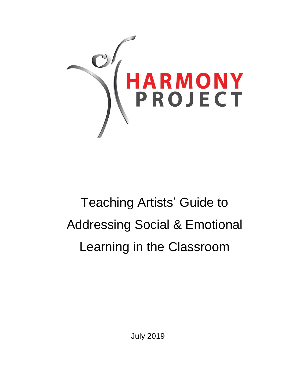

# Teaching Artists' Guide to Addressing Social & Emotional Learning in the Classroom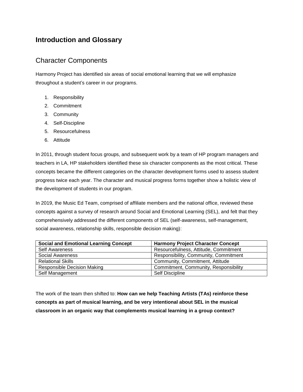## **Introduction and Glossary**

## Character Components

Harmony Project has identified six areas of social emotional learning that we will emphasize throughout a student's career in our programs.

- 1. Responsibility
- 2. Commitment
- 3. Community
- 4. Self-Discipline
- 5. Resourcefulness
- 6. Attitude

In 2011, through student focus groups, and subsequent work by a team of HP program managers and teachers in LA, HP stakeholders identified these six character components as the most critical. These concepts became the different categories on the character development forms used to assess student progress twice each year. The character and musical progress forms together show a holistic view of the development of students in our program.

In 2019, the Music Ed Team, comprised of affiliate members and the national office, reviewed these concepts against a survey of research around Social and Emotional Learning (SEL), and felt that they comprehensively addressed the different components of SEL (self-awareness, self-management, social awareness, relationship skills, responsible decision making):

| <b>Social and Emotional Learning Concept</b> | <b>Harmony Project Character Concept</b> |
|----------------------------------------------|------------------------------------------|
| <b>Self Awareness</b>                        | Resourcefulness, Attitude, Commitment    |
| Social Awareness                             | Responsibility, Community, Commitment    |
| <b>Relational Skills</b>                     | Community, Commitment, Attitude          |
| <b>Responsible Decision Making</b>           | Commitment, Community, Responsibility    |
| Self Management                              | Self Discipline                          |

The work of the team then shifted to: **How can we help Teaching Artists (TAs) reinforce these concepts as part of musical learning, and be very intentional about SEL in the musical classroom in an organic way that complements musical learning in a group context?**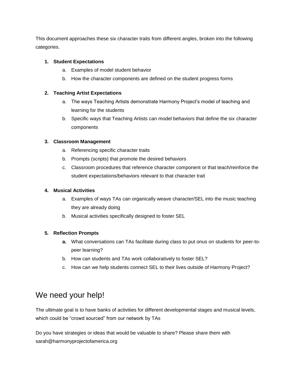This document approaches these six character traits from different angles, broken into the following categories.

#### **1. Student Expectations**

- a. Examples of model student behavior
- b. How the character components are defined on the student progress forms

#### **2. Teaching Artist Expectations**

- a. The ways Teaching Artists demonstrate Harmony Project's model of teaching and learning for the students
- b. Specific ways that Teaching Artists can model behaviors that define the six character components

#### **3. Classroom Management**

- a. Referencing specific character traits
- b. Prompts (scripts) that promote the desired behaviors
- c. Classroom procedures that reference character component or that teach/reinforce the student expectations/behaviors relevant to that character trait

#### **4. Musical Activities**

- a. Examples of ways TAs can organically weave character/SEL into the music teaching they are already doing
- b. Musical activities specifically designed to foster SEL

#### **5. Reflection Prompts**

- **a.** What conversations can TAs facilitate during class to put onus on students for peer-topeer learning?
- b. How can students and TAs work collaboratively to foster SEL?
- c. How can we help students connect SEL to their lives outside of Harmony Project?

# We need your help!

The ultimate goal is to have banks of activities for different developmental stages and musical levels, which could be "crowd sourced" from our network by TAs

Do you have strategies or ideas that would be valuable to share? Please share them with sarah@harmonyprojectofamerica.org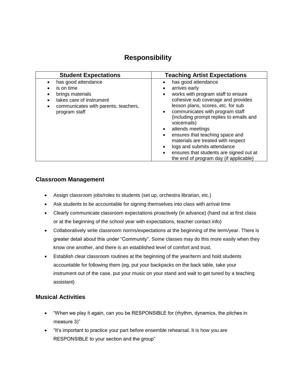## **Responsibility**

| <b>Student Expectations</b>                                                                                                                | <b>Teaching Artist Expectations</b>                                                                                                                                                                                                                                                                                                                                                                                                                                                                                                                             |
|--------------------------------------------------------------------------------------------------------------------------------------------|-----------------------------------------------------------------------------------------------------------------------------------------------------------------------------------------------------------------------------------------------------------------------------------------------------------------------------------------------------------------------------------------------------------------------------------------------------------------------------------------------------------------------------------------------------------------|
| has good attendance<br>is on time<br>brings materials<br>takes care of instrument<br>communicates with parents, teachers,<br>program staff | has good attendance<br>arrives early<br>$\bullet$<br>works with program staff to ensure<br>$\bullet$<br>cohesive sub coverage and provides<br>lesson plans, scores, etc. for sub<br>communicates with program staff<br>$\bullet$<br>(including prompt replies to emails and<br>voicemails)<br>attends meetings<br>$\bullet$<br>ensures that teaching space and<br>$\bullet$<br>materials are treated with respect<br>logs and submits attendance<br>$\bullet$<br>ensures that students are signed out at<br>$\bullet$<br>the end of program day (if applicable) |

## **Classroom Management**

- Assign classroom jobs/roles to students (set up, orchestra librarian, etc.)
- Ask students to be accountable for signing themselves into class with arrival time
- Clearly communicate classroom expectations proactively (in advance) (hand out at first class or at the beginning of the school year with expectations, teacher contact info)
- Collaboratively write classroom norms/expectations at the beginning of the term/year. There is greater detail about this under "Community". Some classes may do this more easily when they know one another, and there is an established level of comfort and trust.
- Establish clear classroom routines at the beginning of the year/term and hold students accountable for following them (eg, put your backpacks on the back table, take your instrument out of the case, put your music on your stand and wait to get tuned by a teaching assistant)

- "When we play it again, can you be RESPONSIBLE for (rhythm, dynamics, the pitches in measure 3)"
- "It's important to practice your part before ensemble rehearsal. It is how you are RESPONSIBLE to your section and the group"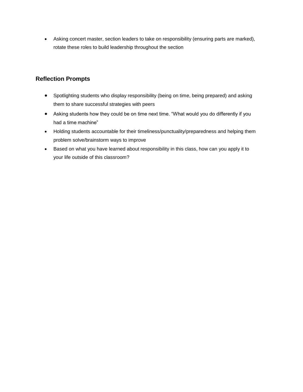• Asking concert master, section leaders to take on responsibility (ensuring parts are marked), rotate these roles to build leadership throughout the section

- Spotlighting students who display responsibility (being on time, being prepared) and asking them to share successful strategies with peers
- Asking students how they could be on time next time. "What would you do differently if you had a time machine"
- Holding students accountable for their timeliness/punctuality/preparedness and helping them problem solve/brainstorm ways to improve
- Based on what you have learned about responsibility in this class, how can you apply it to your life outside of this classroom?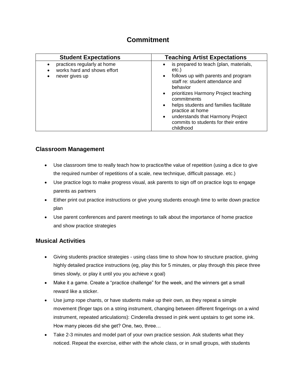## **Commitment**

| <b>Student Expectations</b>                                                               | <b>Teaching Artist Expectations</b>                                                                                                                                                                                                                                                                                                                                                                                   |
|-------------------------------------------------------------------------------------------|-----------------------------------------------------------------------------------------------------------------------------------------------------------------------------------------------------------------------------------------------------------------------------------------------------------------------------------------------------------------------------------------------------------------------|
| practices regularly at home<br>$\bullet$<br>works hard and shows effort<br>never gives up | is prepared to teach (plan, materials,<br>$\bullet$<br>etc.)<br>follows up with parents and program<br>$\bullet$<br>staff re: student attendance and<br>behavior<br>prioritizes Harmony Project teaching<br>$\bullet$<br>commitments<br>helps students and families facilitate<br>$\bullet$<br>practice at home<br>understands that Harmony Project<br>$\bullet$<br>commits to students for their entire<br>childhood |

## **Classroom Management**

- Use classroom time to really teach how to practice/the value of repetition (using a dice to give the required number of repetitions of a scale, new technique, difficult passage. etc.)
- Use practice logs to make progress visual, ask parents to sign off on practice logs to engage parents as partners
- Either print out practice instructions or give young students enough time to write down practice plan
- Use parent conferences and parent meetings to talk about the importance of home practice and show practice strategies

- Giving students practice strategies using class time to show how to structure practice, giving highly detailed practice instructions (eg, play this for 5 minutes, or play through this piece three times slowly, or play it until you you achieve x goal)
- Make it a game. Create a "practice challenge" for the week, and the winners get a small reward like a sticker.
- Use jump rope chants, or have students make up their own, as they repeat a simple movement (finger taps on a string instrument, changing between different fingerings on a wind instrument, repeated articulations): Cinderella dressed in pink went upstairs to get some ink. How many pieces did she get? One, two, three…
- Take 2-3 minutes and model part of your own practice session. Ask students what they noticed. Repeat the exercise, either with the whole class, or in small groups, with students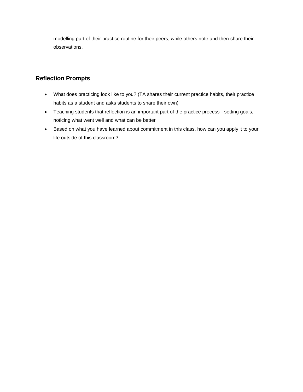modelling part of their practice routine for their peers, while others note and then share their observations.

- What does practicing look like to you? (TA shares their current practice habits, their practice habits as a student and asks students to share their own)
- Teaching students that reflection is an important part of the practice process setting goals, noticing what went well and what can be better
- Based on what you have learned about commitment in this class, how can you apply it to your life outside of this classroom?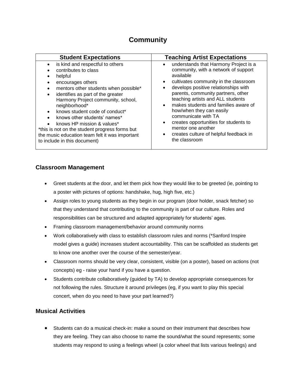## **Community**

| <b>Student Expectations</b>                                                                                                                                                                                                                                                                                                                                                                                                                                                    | <b>Teaching Artist Expectations</b>                                                                                                                                                                                                                                                                                                                                                                                                                                                                                                                       |
|--------------------------------------------------------------------------------------------------------------------------------------------------------------------------------------------------------------------------------------------------------------------------------------------------------------------------------------------------------------------------------------------------------------------------------------------------------------------------------|-----------------------------------------------------------------------------------------------------------------------------------------------------------------------------------------------------------------------------------------------------------------------------------------------------------------------------------------------------------------------------------------------------------------------------------------------------------------------------------------------------------------------------------------------------------|
| is kind and respectful to others<br>contributes to class<br>helpful<br>encourages others<br>mentors other students when possible*<br>identifies as part of the greater<br>$\bullet$<br>Harmony Project community, school,<br>neighborhood*<br>knows student code of conduct*<br>knows other students' names*<br>knows HP mission & values*<br>*this is not on the student progress forms but<br>the music education team felt it was important<br>to include in this document) | understands that Harmony Project is a<br>$\bullet$<br>community, with a network of support<br>available<br>cultivates community in the classroom<br>$\bullet$<br>develops positive relationships with<br>$\bullet$<br>parents, community partners, other<br>teaching artists and ALL students<br>makes students and families aware of<br>$\bullet$<br>how/when they can easily<br>communicate with TA<br>creates opportunities for students to<br>$\bullet$<br>mentor one another<br>creates culture of helpful feedback in<br>$\bullet$<br>the classroom |

## **Classroom Management**

- Greet students at the door, and let them pick how they would like to be greeted (ie, pointing to a poster with pictures of options: handshake, hug, high five, etc.)
- Assign roles to young students as they begin in our program (door holder, snack fetcher) so that they understand that contributing to the community is part of our culture. Roles and responsibilities can be structured and adapted appropriately for students' ages.
- Framing classroom management/behavior around community norms
- Work collaboratively with class to establish classroom rules and norms (\*Sanford Inspire model gives a guide) increases student accountability. This can be scaffolded as students get to know one another over the course of the semester/year.
- Classroom norms should be very clear, consistent, visible (on a poster), based on actions (not concepts) eg - raise your hand if you have a question.
- Students contribute collaboratively (guided by TA) to develop appropriate consequences for not following the rules. Structure it around privileges (eg, if you want to play this special concert, when do you need to have your part learned?)

## **Musical Activities**

• Students can do a musical check-in: make a sound on their instrument that describes how they are feeling. They can also choose to name the sound/what the sound represents; some students may respond to using a feelings wheel (a color wheel that lists various feelings) and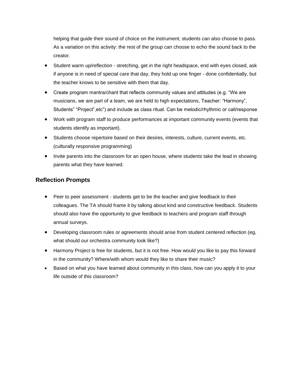helping that guide their sound of choice on the instrument; students can also choose to pass. As a variation on this activity: the rest of the group can choose to echo the sound back to the creator.

- Student warm up/reflection stretching, get in the right headspace, end with eyes closed, ask if anyone is in need of special care that day, they hold up one finger - done confidentially, but the teacher knows to be sensitive with them that day.
- Create program mantra/chant that reflects community values and attitudes (e.g. "We are musicians, we are part of a team, we are held to high expectations, Teacher: "Harmony", Students" "Project",etc") and include as class ritual. Can be melodic/rhythmic or call/response
- Work with program staff to produce performances at important community events (events that students identify as important).
- Students choose repertoire based on their desires, interests, culture, current events, etc. (culturally responsive programming)
- Invite parents into the classroom for an open house, where students take the lead in showing parents what they have learned.

- Peer to peer assessment students get to be the teacher and give feedback to their colleagues. The TA should frame it by talking about kind and constructive feedback. Students should also have the opportunity to give feedback to teachers and program staff through annual surveys.
- Developing classroom rules or agreements should arise from student centered reflection (eg, what should our orchestra community look like?)
- Harmony Project is free for students, but it is not free. How would you like to pay this forward in the community? Where/with whom would they like to share their music?
- Based on what you have learned about community in this class, how can you apply it to your life outside of this classroom?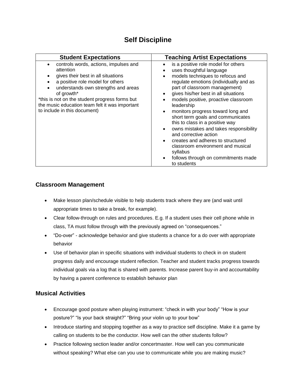## **Self Discipline**

| <b>Student Expectations</b>                                                                                                                                                                                                                                                                                           | <b>Teaching Artist Expectations</b>                                                                                                                                                                                                                                                                                                                                                                                                                                                                                                                                                                                                                                       |
|-----------------------------------------------------------------------------------------------------------------------------------------------------------------------------------------------------------------------------------------------------------------------------------------------------------------------|---------------------------------------------------------------------------------------------------------------------------------------------------------------------------------------------------------------------------------------------------------------------------------------------------------------------------------------------------------------------------------------------------------------------------------------------------------------------------------------------------------------------------------------------------------------------------------------------------------------------------------------------------------------------------|
| controls words, actions, impulses and<br>attention<br>gives their best in all situations<br>a positive role model for others<br>understands own strengths and areas<br>of growth*<br>*this is not on the student progress forms but<br>the music education team felt it was important<br>to include in this document) | is a positive role model for others<br>uses thoughtful language<br>models techniques to refocus and<br>$\bullet$<br>regulate emotions (individually and as<br>part of classroom management)<br>gives his/her best in all situations<br>$\bullet$<br>models positive, proactive classroom<br>leadership<br>monitors progress toward long and<br>$\bullet$<br>short term goals and communicates<br>this to class in a positive way<br>owns mistakes and takes responsibility<br>and corrective action<br>creates and adheres to structured<br>$\bullet$<br>classroom environment and musical<br>syllabus<br>follows through on commitments made<br>$\bullet$<br>to students |

## **Classroom Management**

- Make lesson plan/schedule visible to help students track where they are (and wait until appropriate times to take a break, for example).
- Clear follow-through on rules and procedures. E.g. If a student uses their cell phone while in class, TA must follow through with the previously agreed on "consequences."
- "Do-over" acknowledge behavior and give students a chance for a do over with appropriate behavior
- Use of behavior plan in specific situations with individual students to check in on student progress daily and encourage student reflection. Teacher and student tracks progress towards individual goals via a log that is shared with parents. Increase parent buy-in and accountability by having a parent conference to establish behavior plan

- Encourage good posture when playing instrument: "check in with your body" "How is your posture?" "Is your back straight?" "Bring your violin up to your bow"
- Introduce starting and stopping together as a way to practice self discipline. Make it a game by calling on students to be the conductor. How well can the other students follow?
- Practice following section leader and/or concertmaster. How well can you communicate without speaking? What else can you use to communicate while you are making music?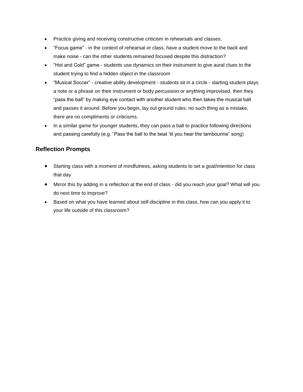- Practice giving and receiving constructive criticism in rehearsals and classes.
- "Focus game" in the context of rehearsal or class, have a student move to the back and make noise - can the other students remained focused despite this distraction?
- "Hot and Cold" game students use dynamics on their instrument to give aural clues to the student trying to find a hidden object in the classroom
- "Musical Soccer" creative ability development students sit in a circle starting student plays a note or a phrase on their instrument or body percussion or anything improvised, then they "pass the ball" by making eye contact with another student who then takes the musical ball and passes it around. Before you begin, lay out ground rules: no such thing as a mistake, there are no compliments or criticisms.
- In a similar game for younger students, they can pass a ball to practice following directions and passing carefully (e.g. "Pass the ball to the beat 'til you hear the tambourine" song)

- Starting class with a moment of mindfulness, asking students to set a goal/intention for class that day
- Mirror this by adding in a reflection at the end of class did you reach your goal? What will you do next time to improve?
- Based on what you have learned about self-discipline in this class, how can you apply it to your life outside of this classroom?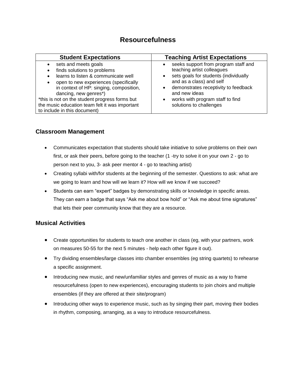## **Resourcefulness**

| <b>Student Expectations</b>                                                                                                                                                                                                                                                                                                                                                        | <b>Teaching Artist Expectations</b>                                                                                                                                                                                                                                                       |  |
|------------------------------------------------------------------------------------------------------------------------------------------------------------------------------------------------------------------------------------------------------------------------------------------------------------------------------------------------------------------------------------|-------------------------------------------------------------------------------------------------------------------------------------------------------------------------------------------------------------------------------------------------------------------------------------------|--|
| sets and meets goals<br>finds solutions to problems<br>$\bullet$<br>learns to listen & communicate well<br>$\bullet$<br>open to new experiences (specifically<br>$\bullet$<br>in context of HP: singing, composition,<br>dancing, new genres*)<br>*this is not on the student progress forms but<br>the music education team felt it was important<br>to include in this document) | seeks support from program staff and<br>teaching artist colleagues<br>sets goals for students (individually<br>$\bullet$<br>and as a class) and self<br>demonstrates receptivity to feedback<br>and new ideas<br>works with program staff to find<br>$\bullet$<br>solutions to challenges |  |

## **Classroom Management**

- Communicates expectation that students should take initiative to solve problems on their own first, or ask their peers, before going to the teacher (1 -try to solve it on your own 2 - go to person next to you, 3- ask peer mentor 4 - go to teaching artist)
- Creating syllabi with/for students at the beginning of the semester. Questions to ask: what are we going to learn and how will we learn it? How will we know if we succeed?
- Students can earn "expert" badges by demonstrating skills or knowledge in specific areas. They can earn a badge that says "Ask me about bow hold" or "Ask me about time signatures" that lets their peer community know that they are a resource.

- Create opportunities for students to teach one another in class (eg, with your partners, work on measures 50-55 for the next 5 minutes - help each other figure it out).
- Try dividing ensembles/large classes into chamber ensembles (eg string quartets) to rehearse a specific assignment.
- Introducing new music, and new/unfamiliar styles and genres of music as a way to frame resourcefulness (open to new experiences), encouraging students to join choirs and multiple ensembles (if they are offered at their site/program)
- Introducing other ways to experience music, such as by singing their part, moving their bodies in rhythm, composing, arranging, as a way to introduce resourcefulness.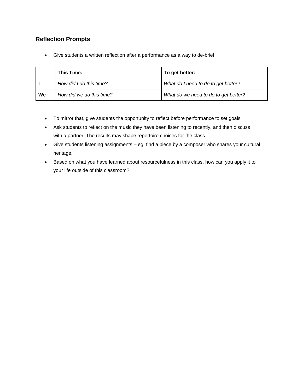## **Reflection Prompts**

• Give students a written reflection after a performance as a way to de-brief

|    | This Time:               | To get better:                       |
|----|--------------------------|--------------------------------------|
|    | How did I do this time?  | What do I need to do to get better?  |
| We | How did we do this time? | What do we need to do to get better? |

- To mirror that, give students the opportunity to reflect before performance to set goals
- Ask students to reflect on the music they have been listening to recently, and then discuss with a partner. The results may shape repertoire choices for the class.
- Give students listening assignments eg, find a piece by a composer who shares your cultural heritage,
- Based on what you have learned about resourcefulness in this class, how can you apply it to your life outside of this classroom?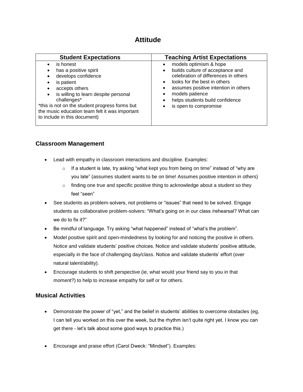## **Attitude**

| <b>Student Expectations</b>                                                                                                                                                                                                                                                                                              | <b>Teaching Artist Expectations</b>                                                                                                                                                                                                                                                                                                                  |
|--------------------------------------------------------------------------------------------------------------------------------------------------------------------------------------------------------------------------------------------------------------------------------------------------------------------------|------------------------------------------------------------------------------------------------------------------------------------------------------------------------------------------------------------------------------------------------------------------------------------------------------------------------------------------------------|
| is honest<br>has a positive spirit<br>٠<br>develops confidence<br>is patient<br>٠<br>accepts others<br>$\bullet$<br>is willing to learn despite personal<br>$\bullet$<br>challenges*<br>*this is not on the student progress forms but<br>the music education team felt it was important<br>to include in this document) | models optimism & hope<br>$\bullet$<br>builds culture of acceptance and<br>$\bullet$<br>celebration of differences in others<br>looks for the best in others<br>$\bullet$<br>assumes positive intention in others<br>$\bullet$<br>models patience<br>$\bullet$<br>helps students build confidence<br>$\bullet$<br>is open to compromise<br>$\bullet$ |

## **Classroom Management**

- Lead with empathy in classroom interactions and discipline. Examples:
	- $\circ$  If a student is late, try asking "what kept you from being on time" instead of "why are you late" (assumes student wants to be on time! Assumes positive intention in others)
	- $\circ$  finding one true and specific positive thing to acknowledge about a student so they feel "seen"
- See students as problem-solvers, not problems or "issues" that need to be solved. Engage students as collaborative problem-solvers: "What's going on in our class /rehearsal? What can we do to fix it?"
- Be mindful of language. Try asking "what happened" instead of "what's the problem".
- Model positive spirit and open-mindedness by looking for and noticing the positive in others. Notice and validate students' positive choices. Notice and validate students' positive attitude, especially in the face of challenging day/class. Notice and validate students' effort (over natural talent/ability).
- Encourage students to shift perspective (ie, what would your friend say to you in that moment?) to help to increase empathy for self or for others.

- Demonstrate the power of "yet," and the belief in students' abilities to overcome obstacles (eg, I can tell you worked on this over the week, but the rhythm isn't quite right yet. I know you can get there - let's talk about some good ways to practice this.)
- Encourage and praise effort (Carol Dweck: "Mindset"). Examples: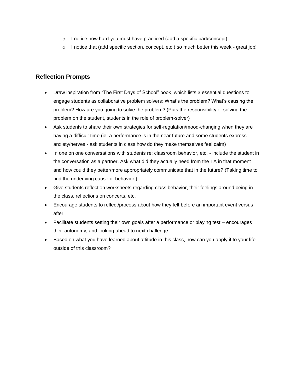- o I notice how hard you must have practiced (add a specific part/concept)
- $\circ$  I notice that (add specific section, concept, etc.) so much better this week great job!

- Draw inspiration from "The First Days of School" book, which lists 3 essential questions to engage students as collaborative problem solvers: What's the problem? What's causing the problem? How are you going to solve the problem? (Puts the responsibility of solving the problem on the student, students in the role of problem-solver)
- Ask students to share their own strategies for self-regulation/mood-changing when they are having a difficult time (ie, a performance is in the near future and some students express anxiety/nerves - ask students in class how do they make themselves feel calm)
- In one on one conversations with students re: classroom behavior, etc. include the student in the conversation as a partner. Ask what did they actually need from the TA in that moment and how could they better/more appropriately communicate that in the future? (Taking time to find the underlying cause of behavior.)
- Give students reflection worksheets regarding class behavior, their feelings around being in the class, reflections on concerts, etc.
- Encourage students to reflect/process about how they felt before an important event versus after.
- Facilitate students setting their own goals after a performance or playing test encourages their autonomy, and looking ahead to next challenge
- Based on what you have learned about attitude in this class, how can you apply it to your life outside of this classroom?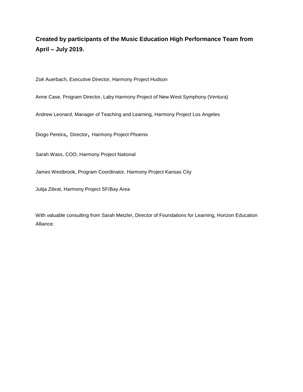**Created by participants of the Music Education High Performance Team from April – July 2019.**

Zoë Auerbach, Executive Director, Harmony Project Hudson

Anne Case, Program Director, Laby Harmony Project of New West Symphony (Ventura)

Andrew Leonard, Manager of Teaching and Learning, Harmony Project Los Angeles

Diogo Pereira, Director, Harmony Project Phoenix

Sarah Wass, COO, Harmony Project National

James Westbrook, Program Coordinator, Harmony Project Kansas City

Julija Zibrat, Harmony Project SF/Bay Area

With valuable consulting from Sarah Metzler, Director of Foundations for Learning, Horizon Education Alliance.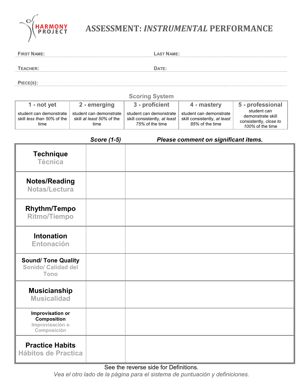

# **ASSESSMENT:** *INSTRUMENTAL* **PERFORMANCE**

| <b>FIRST NAME:</b>                                                | <b>LAST NAME:</b>                                            |                                                                            |                                                                            |                                                                                |
|-------------------------------------------------------------------|--------------------------------------------------------------|----------------------------------------------------------------------------|----------------------------------------------------------------------------|--------------------------------------------------------------------------------|
| <b>TEACHER:</b>                                                   |                                                              | DATE:                                                                      |                                                                            |                                                                                |
| PIECE(S):                                                         |                                                              |                                                                            |                                                                            |                                                                                |
|                                                                   |                                                              | <b>Scoring System</b>                                                      |                                                                            |                                                                                |
| 1 - not yet                                                       | 2 - emerging                                                 | 3 - proficient                                                             | 4 - mastery                                                                | 5 - professional                                                               |
| student can demonstrate<br>skill less than 50% of the<br>time     | student can demonstrate<br>skill at least 50% of the<br>time | student can demonstrate<br>skill consistently, at least<br>75% of the time | student can demonstrate<br>skill consistently, at least<br>85% of the time | student can<br>demonstrate skill<br>consistently, close to<br>100% of the time |
|                                                                   | <b>Score (1-5)</b>                                           |                                                                            | Please comment on significant items.                                       |                                                                                |
| <b>Technique</b><br><b>Técnica</b>                                |                                                              |                                                                            |                                                                            |                                                                                |
| <b>Notes/Reading</b><br>Notas/Lectura                             |                                                              |                                                                            |                                                                            |                                                                                |
| <b>Rhythm/Tempo</b><br><b>Ritmo/Tiempo</b>                        |                                                              |                                                                            |                                                                            |                                                                                |
| <b>Intonation</b><br><b>Entonación</b>                            |                                                              |                                                                            |                                                                            |                                                                                |
| <b>Sound/ Tone Quality</b><br><b>Sonido/ Calidad del</b><br>Tono  |                                                              |                                                                            |                                                                            |                                                                                |
| <b>Musicianship</b><br><b>Musicalidad</b>                         |                                                              |                                                                            |                                                                            |                                                                                |
| Improvisation or<br>Composition<br>Improvisación o<br>Composición |                                                              |                                                                            |                                                                            |                                                                                |
| <b>Practice Habits</b><br><b>Hábitos de Practica</b>              |                                                              |                                                                            |                                                                            |                                                                                |

*Vea el otro lado de la página para el sistema de puntuación y definiciones.*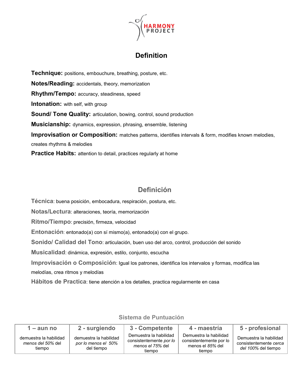

## **Definition**

**Technique:** positions, embouchure, breathing, posture, etc. **Notes/Reading:** accidentals, theory, memorization **Rhythm/Tempo:** accuracy, steadiness, speed **Intonation:** with self, with group **Sound/ Tone Quality:** articulation, bowing, control, sound production **Musicianship:** dynamics, expression, phrasing, ensemble, listening **Improvisation or Composition:** matches patterns, identifies intervals & form, modifies known melodies, creates rhythms & melodies **Practice Habits:** attention to detail, practices regularly at home

# **Definición**

**Técnica**: buena posición, embocadura, respiración, postura, etc.

**Notas/Lectura**: alteraciones, teoría, memorización

**Ritmo/Tiempo**: precisión, firmeza, velocidad

**Entonación**: entonado(a) con sí mismo(a), entonado(a) con el grupo.

**Sonido/ Calidad del Tono**: articulación, buen uso del arco, control, producción del sonido

**Musicalidad**: dinámica, expresión, estilo, conjunto, escucha

**Improvisación o Composición**: Igual los patrones, identifica los intervalos y formas, modifica las melodías, crea ritmos y melodías

**Hábitos de Practica**: tiene atención a los detalles, practica regularmente en casa

| 1 – aun no                                                   | 2 - surgiendo                                               | 3 - Competente                                                                  | 4 - maestría                                                                    | 5 - profesional                                                                |
|--------------------------------------------------------------|-------------------------------------------------------------|---------------------------------------------------------------------------------|---------------------------------------------------------------------------------|--------------------------------------------------------------------------------|
| demuestra la habilidad<br><i>menos del 50%</i> del<br>tiempo | demuestra la habilidad<br>por lo menos el 50%<br>del tiempo | Demuestra la habilidad<br>consistentemente por lo<br>menos el 75% del<br>tiempo | Demuestra la habilidad<br>consistentemente por lo<br>menos el 85% del<br>tiempo | Demuestra la habilidad<br>consistentemente cerca<br><i>del 100%</i> del tiempo |

## **Sistema de Puntuación**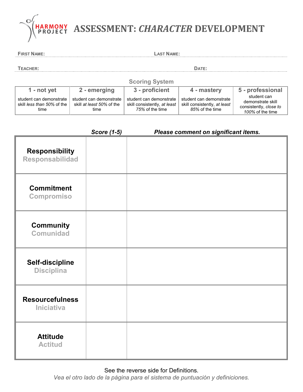

**FIRST NAME: LAST NAME:**

**TEACHER: DATE:**

| <b>Scoring System</b>                                                |                                                              |                                                                            |                                                                            |                                                                                |
|----------------------------------------------------------------------|--------------------------------------------------------------|----------------------------------------------------------------------------|----------------------------------------------------------------------------|--------------------------------------------------------------------------------|
| $1 - not$ vet                                                        | 2 - emerging                                                 | 3 - proficient                                                             | 4 - mastery                                                                | 5 - professional                                                               |
| student can demonstrate<br>skill <i>less than 50%</i> of the<br>time | student can demonstrate<br>skill at least 50% of the<br>time | student can demonstrate<br>skill consistently, at least<br>75% of the time | student can demonstrate<br>skill consistently, at least<br>85% of the time | student can<br>demonstrate skill<br>consistently, close to<br>100% of the time |

|                                             | <b>Score (1-5)</b> | Please comment on significant items. |
|---------------------------------------------|--------------------|--------------------------------------|
| <b>Responsibility</b><br>Responsabilidad    |                    |                                      |
| <b>Commitment</b><br><b>Compromiso</b>      |                    |                                      |
| <b>Community</b><br><b>Comunidad</b>        |                    |                                      |
| Self-discipline<br><b>Disciplina</b>        |                    |                                      |
| <b>Resourcefulness</b><br><b>Iniciativa</b> |                    |                                      |
| <b>Attitude</b><br><b>Actitud</b>           |                    |                                      |

See the reverse side for Definitions.

*Vea el otro lado de la página para el sistema de puntuación y definiciones.*